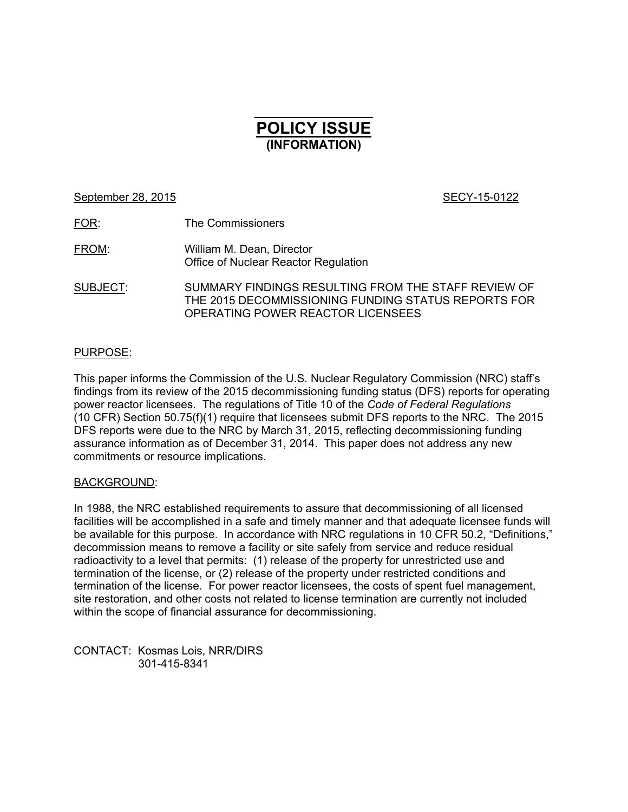# $\frac{1}{2}$ **POLICY ISSUE (INFORMATION)**

September 28, 2015 SECY-15-0122

FOR: The Commissioners

FROM: William M. Dean, Director Office of Nuclear Reactor Regulation

SUBJECT: SUMMARY FINDINGS RESULTING FROM THE STAFF REVIEW OF THE 2015 DECOMMISSIONING FUNDING STATUS REPORTS FOR OPERATING POWER REACTOR LICENSEES

## PURPOSE:

This paper informs the Commission of the U.S. Nuclear Regulatory Commission (NRC) staff's findings from its review of the 2015 decommissioning funding status (DFS) reports for operating power reactor licensees. The regulations of Title 10 of the *Code of Federal Regulations*  (10 CFR) Section 50.75(f)(1) require that licensees submit DFS reports to the NRC. The 2015 DFS reports were due to the NRC by March 31, 2015, reflecting decommissioning funding assurance information as of December 31, 2014. This paper does not address any new commitments or resource implications.

## BACKGROUND:

In 1988, the NRC established requirements to assure that decommissioning of all licensed facilities will be accomplished in a safe and timely manner and that adequate licensee funds will be available for this purpose. In accordance with NRC regulations in 10 CFR 50.2, "Definitions," decommission means to remove a facility or site safely from service and reduce residual radioactivity to a level that permits: (1) release of the property for unrestricted use and termination of the license, or (2) release of the property under restricted conditions and termination of the license. For power reactor licensees, the costs of spent fuel management, site restoration, and other costs not related to license termination are currently not included within the scope of financial assurance for decommissioning.

CONTACT: Kosmas Lois, NRR/DIRS 301-415-8341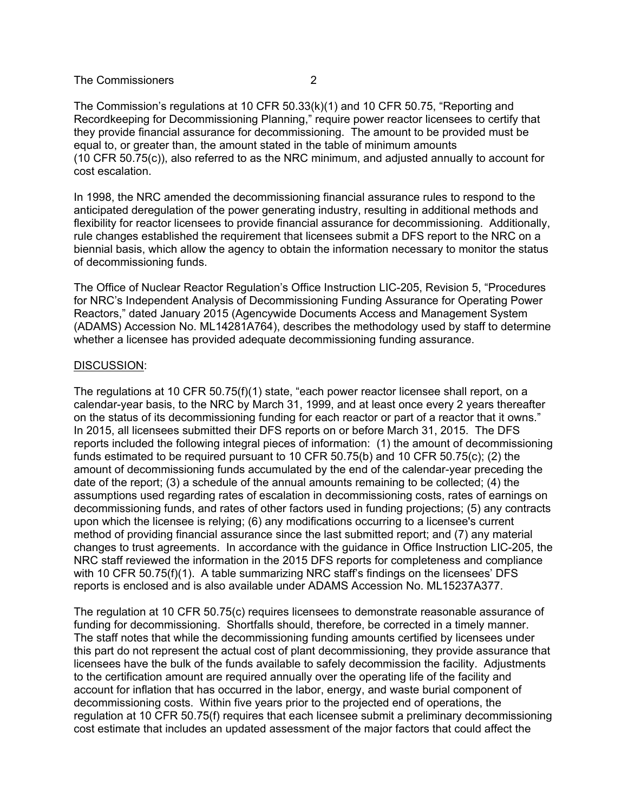The Commission's regulations at 10 CFR 50.33(k)(1) and 10 CFR 50.75, "Reporting and Recordkeeping for Decommissioning Planning," require power reactor licensees to certify that they provide financial assurance for decommissioning. The amount to be provided must be equal to, or greater than, the amount stated in the table of minimum amounts (10 CFR 50.75(c)), also referred to as the NRC minimum, and adjusted annually to account for cost escalation.

In 1998, the NRC amended the decommissioning financial assurance rules to respond to the anticipated deregulation of the power generating industry, resulting in additional methods and flexibility for reactor licensees to provide financial assurance for decommissioning. Additionally, rule changes established the requirement that licensees submit a DFS report to the NRC on a biennial basis, which allow the agency to obtain the information necessary to monitor the status of decommissioning funds.

The Office of Nuclear Reactor Regulation's Office Instruction LIC-205, Revision 5, "Procedures for NRC's Independent Analysis of Decommissioning Funding Assurance for Operating Power Reactors," dated January 2015 (Agencywide Documents Access and Management System (ADAMS) Accession No. ML14281A764), describes the methodology used by staff to determine whether a licensee has provided adequate decommissioning funding assurance.

#### DISCUSSION:

The regulations at 10 CFR 50.75(f)(1) state, "each power reactor licensee shall report, on a calendar-year basis, to the NRC by March 31, 1999, and at least once every 2 years thereafter on the status of its decommissioning funding for each reactor or part of a reactor that it owns." In 2015, all licensees submitted their DFS reports on or before March 31, 2015. The DFS reports included the following integral pieces of information: (1) the amount of decommissioning funds estimated to be required pursuant to 10 CFR 50.75(b) and 10 CFR 50.75(c); (2) the amount of decommissioning funds accumulated by the end of the calendar-year preceding the date of the report; (3) a schedule of the annual amounts remaining to be collected; (4) the assumptions used regarding rates of escalation in decommissioning costs, rates of earnings on decommissioning funds, and rates of other factors used in funding projections; (5) any contracts upon which the licensee is relying; (6) any modifications occurring to a licensee's current method of providing financial assurance since the last submitted report; and (7) any material changes to trust agreements. In accordance with the guidance in Office Instruction LIC-205, the NRC staff reviewed the information in the 2015 DFS reports for completeness and compliance with 10 CFR 50.75(f)(1). A table summarizing NRC staff's findings on the licensees' DFS reports is enclosed and is also available under ADAMS Accession No. ML15237A377.

The regulation at 10 CFR 50.75(c) requires licensees to demonstrate reasonable assurance of funding for decommissioning. Shortfalls should, therefore, be corrected in a timely manner. The staff notes that while the decommissioning funding amounts certified by licensees under this part do not represent the actual cost of plant decommissioning, they provide assurance that licensees have the bulk of the funds available to safely decommission the facility. Adjustments to the certification amount are required annually over the operating life of the facility and account for inflation that has occurred in the labor, energy, and waste burial component of decommissioning costs. Within five years prior to the projected end of operations, the regulation at 10 CFR 50.75(f) requires that each licensee submit a preliminary decommissioning cost estimate that includes an updated assessment of the major factors that could affect the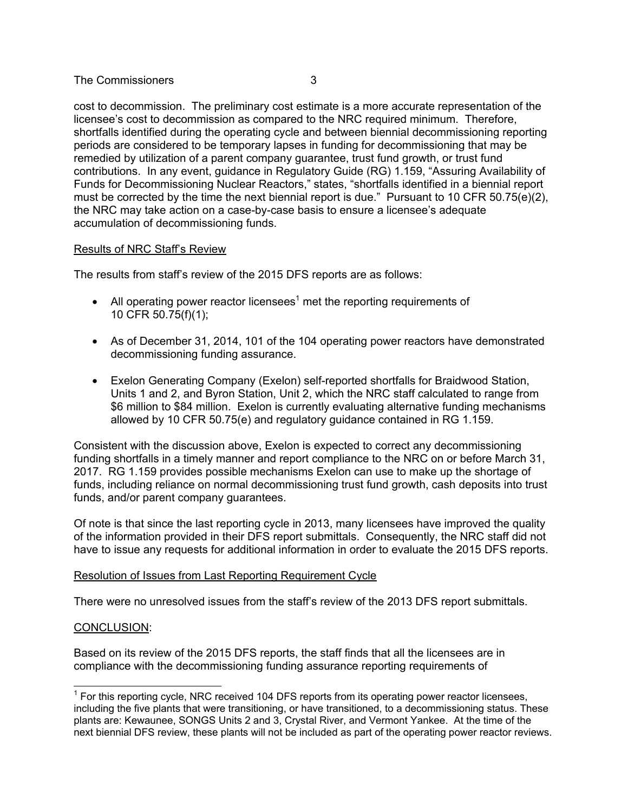cost to decommission. The preliminary cost estimate is a more accurate representation of the licensee's cost to decommission as compared to the NRC required minimum. Therefore, shortfalls identified during the operating cycle and between biennial decommissioning reporting periods are considered to be temporary lapses in funding for decommissioning that may be remedied by utilization of a parent company guarantee, trust fund growth, or trust fund contributions. In any event, guidance in Regulatory Guide (RG) 1.159, "Assuring Availability of Funds for Decommissioning Nuclear Reactors," states, "shortfalls identified in a biennial report must be corrected by the time the next biennial report is due." Pursuant to 10 CFR 50.75(e)(2), the NRC may take action on a case-by-case basis to ensure a licensee's adequate accumulation of decommissioning funds.

## Results of NRC Staff's Review

The results from staff's review of the 2015 DFS reports are as follows:

- All operating power reactor licensees<sup>1</sup> met the reporting requirements of 10 CFR 50.75(f)(1);
- As of December 31, 2014, 101 of the 104 operating power reactors have demonstrated decommissioning funding assurance.
- Exelon Generating Company (Exelon) self-reported shortfalls for Braidwood Station, Units 1 and 2, and Byron Station, Unit 2, which the NRC staff calculated to range from \$6 million to \$84 million. Exelon is currently evaluating alternative funding mechanisms allowed by 10 CFR 50.75(e) and regulatory guidance contained in RG 1.159.

Consistent with the discussion above, Exelon is expected to correct any decommissioning funding shortfalls in a timely manner and report compliance to the NRC on or before March 31, 2017. RG 1.159 provides possible mechanisms Exelon can use to make up the shortage of funds, including reliance on normal decommissioning trust fund growth, cash deposits into trust funds, and/or parent company guarantees.

Of note is that since the last reporting cycle in 2013, many licensees have improved the quality of the information provided in their DFS report submittals. Consequently, the NRC staff did not have to issue any requests for additional information in order to evaluate the 2015 DFS reports.

## Resolution of Issues from Last Reporting Requirement Cycle

There were no unresolved issues from the staff's review of the 2013 DFS report submittals.

## CONCLUSION:

Based on its review of the 2015 DFS reports, the staff finds that all the licensees are in compliance with the decommissioning funding assurance reporting requirements of

 $1$  For this reporting cycle, NRC received 104 DFS reports from its operating power reactor licensees, including the five plants that were transitioning, or have transitioned, to a decommissioning status. These plants are: Kewaunee, SONGS Units 2 and 3, Crystal River, and Vermont Yankee. At the time of the next biennial DFS review, these plants will not be included as part of the operating power reactor reviews.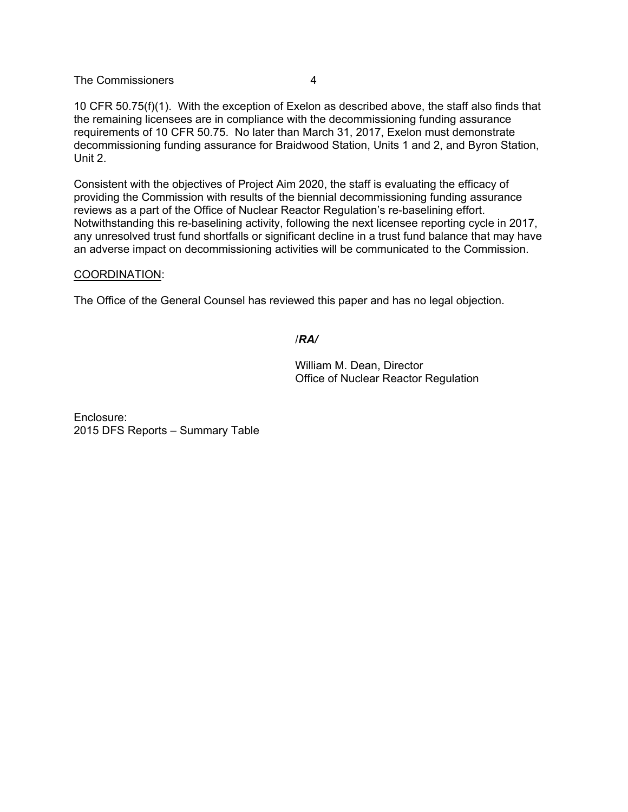10 CFR 50.75(f)(1). With the exception of Exelon as described above, the staff also finds that the remaining licensees are in compliance with the decommissioning funding assurance requirements of 10 CFR 50.75. No later than March 31, 2017, Exelon must demonstrate decommissioning funding assurance for Braidwood Station, Units 1 and 2, and Byron Station, Unit 2.

Consistent with the objectives of Project Aim 2020, the staff is evaluating the efficacy of providing the Commission with results of the biennial decommissioning funding assurance reviews as a part of the Office of Nuclear Reactor Regulation's re-baselining effort. Notwithstanding this re-baselining activity, following the next licensee reporting cycle in 2017, any unresolved trust fund shortfalls or significant decline in a trust fund balance that may have an adverse impact on decommissioning activities will be communicated to the Commission.

## COORDINATION:

The Office of the General Counsel has reviewed this paper and has no legal objection.

## /*RA/*

William M. Dean, Director Office of Nuclear Reactor Regulation

Enclosure: 2015 DFS Reports – Summary Table